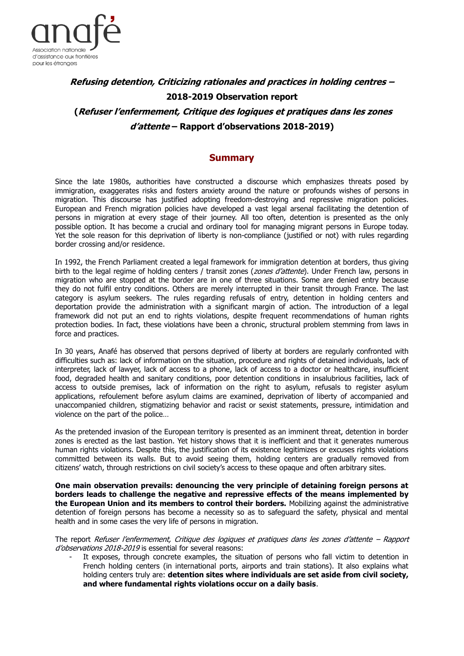

# **Refusing detention, Criticizing rationales and practices in holding centres – 2018-2019 Observation report (Refuser l'enfermement, Critique des logiques et pratiques dans les zones d'attente – Rapport d'observations 2018-2019)**

# **Summary**

Since the late 1980s, authorities have constructed a discourse which emphasizes threats posed by immigration, exaggerates risks and fosters anxiety around the nature or profounds wishes of persons in migration. This discourse has justified adopting freedom-destroying and repressive migration policies. European and French migration policies have developed a vast legal arsenal facilitating the detention of persons in migration at every stage of their journey. All too often, detention is presented as the only possible option. It has become a crucial and ordinary tool for managing migrant persons in Europe today. Yet the sole reason for this deprivation of liberty is non-compliance (justified or not) with rules regarding border crossing and/or residence.

In 1992, the French Parliament created a legal framework for immigration detention at borders, thus giving birth to the legal regime of holding centers / transit zones (*zones d'attente*). Under French law, persons in migration who are stopped at the border are in one of three situations. Some are denied entry because they do not fulfil entry conditions. Others are merely interrupted in their transit through France. The last category is asylum seekers. The rules regarding refusals of entry, detention in holding centers and deportation provide the administration with a significant margin of action. The introduction of a legal framework did not put an end to rights violations, despite frequent recommendations of human rights protection bodies. In fact, these violations have been a chronic, structural problem stemming from laws in force and practices.

In 30 years, Anafé has observed that persons deprived of liberty at borders are regularly confronted with difficulties such as: lack of information on the situation, procedure and rights of detained individuals, lack of interpreter, lack of lawyer, lack of access to a phone, lack of access to a doctor or healthcare, insufficient food, degraded health and sanitary conditions, poor detention conditions in insalubrious facilities, lack of access to outside premises, lack of information on the right to asylum, refusals to register asylum applications, refoulement before asylum claims are examined, deprivation of liberty of accompanied and unaccompanied children, stigmatizing behavior and racist or sexist statements, pressure, intimidation and violence on the part of the police…

As the pretended invasion of the European territory is presented as an imminent threat, detention in border zones is erected as the last bastion. Yet history shows that it is inefficient and that it generates numerous human rights violations. Despite this, the justification of its existence legitimizes or excuses rights violations committed between its walls. But to avoid seeing them, holding centers are gradually removed from citizens' watch, through restrictions on civil society's access to these opaque and often arbitrary sites.

**One main observation prevails: denouncing the very principle of detaining foreign persons at borders leads to challenge the negative and repressive effects of the means implemented by the European Union and its members to control their borders.** Mobilizing against the administrative detention of foreign persons has become a necessity so as to safeguard the safety, physical and mental health and in some cases the very life of persons in migration.

The report Refuser l'enfermement, Critique des logiques et pratiques dans les zones d'attente – Rapport d'observations 2018-2019 is essential for several reasons:

It exposes, through concrete examples, the situation of persons who fall victim to detention in French holding centers (in international ports, airports and train stations). It also explains what holding centers truly are: **detention sites where individuals are set aside from civil society, and where fundamental rights violations occur on a daily basis**.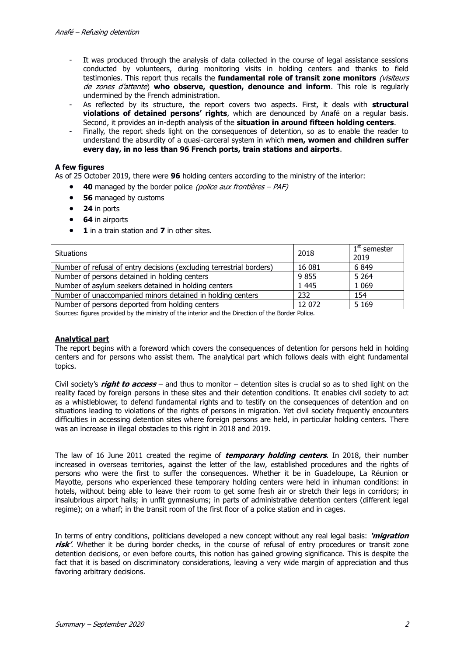- It was produced through the analysis of data collected in the course of legal assistance sessions conducted by volunteers, during monitoring visits in holding centers and thanks to field testimonies. This report thus recalls the **fundamental role of transit zone monitors** (visiteurs de zones d'attente) **who observe, question, denounce and inform**. This role is regularly undermined by the French administration.
- As reflected by its structure, the report covers two aspects. First, it deals with **structural violations of detained persons' rights**, which are denounced by Anafé on a regular basis. Second, it provides an in-depth analysis of the **situation in around fifteen holding centers**.
- Finally, the report sheds light on the consequences of detention, so as to enable the reader to understand the absurdity of a quasi-carceral system in which **men, women and children suffer every day, in no less than 96 French ports, train stations and airports**.

## **A few figures**

As of 25 October 2019, there were **96** holding centers according to the ministry of the interior:

- **40** managed by the border police (police aux frontières PAF)
- **56** managed by customs
- **24** in ports
- **64** in airports
- **1** in a train station and **7** in other sites.

| <b>Situations</b>                                                    | 2018    | $1st$ semester<br>2019 |
|----------------------------------------------------------------------|---------|------------------------|
| Number of refusal of entry decisions (excluding terrestrial borders) | 16 081  | 6849                   |
| Number of persons detained in holding centers                        | 9855    | 5 2 6 4                |
| Number of asylum seekers detained in holding centers                 | 1 4 4 5 | 1 0 6 9                |
| Number of unaccompanied minors detained in holding centers           | 232     | 154                    |
| Number of persons deported from holding centers                      | 12 072  | 5 1 6 9                |

Sources: figures provided by the ministry of the interior and the Direction of the Border Police.

#### **Analytical part**

The report begins with a foreword which covers the consequences of detention for persons held in holding centers and for persons who assist them. The analytical part which follows deals with eight fundamental topics.

Civil society's **right to access** – and thus to monitor – detention sites is crucial so as to shed light on the reality faced by foreign persons in these sites and their detention conditions. It enables civil society to act as a whistleblower, to defend fundamental rights and to testify on the consequences of detention and on situations leading to violations of the rights of persons in migration. Yet civil society frequently encounters difficulties in accessing detention sites where foreign persons are held, in particular holding centers. There was an increase in illegal obstacles to this right in 2018 and 2019.

The law of 16 June 2011 created the regime of **temporary holding centers**. In 2018, their number increased in overseas territories, against the letter of the law, established procedures and the rights of persons who were the first to suffer the consequences. Whether it be in Guadeloupe, La Réunion or Mayotte, persons who experienced these temporary holding centers were held in inhuman conditions: in hotels, without being able to leave their room to get some fresh air or stretch their legs in corridors; in insalubrious airport halls; in unfit gymnasiums; in parts of administrative detention centers (different legal regime); on a wharf; in the transit room of the first floor of a police station and in cages.

In terms of entry conditions, politicians developed a new concept without any real legal basis: **'migration risk'**. Whether it be during border checks, in the course of refusal of entry procedures or transit zone detention decisions, or even before courts, this notion has gained growing significance. This is despite the fact that it is based on discriminatory considerations, leaving a very wide margin of appreciation and thus favoring arbitrary decisions.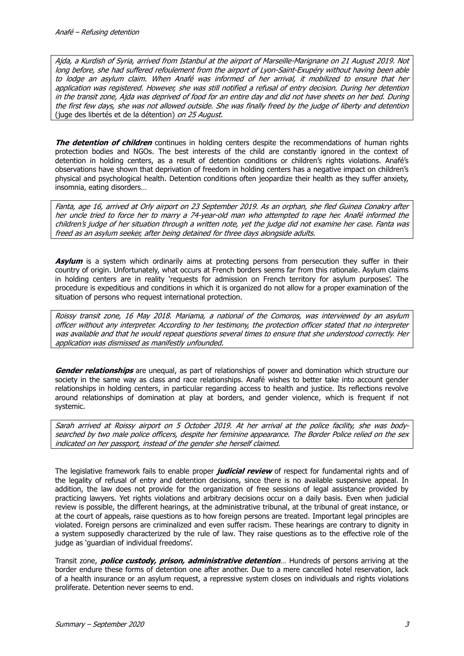Ajda, a Kurdish of Syria, arrived from Istanbul at the airport of Marseille-Marignane on 21 August 2019. Not long before, she had suffered refoulement from the airport of Lyon-Saint-Exupéry without having been able to lodge an asylum claim. When Anafé was informed of her arrival, it mobilized to ensure that her application was registered. However, she was still notified a refusal of entry decision. During her detention in the transit zone, Ajda was deprived of food for an entire day and did not have sheets on her bed. During the first few days, she was not allowed outside. She was finally freed by the judge of liberty and detention (juge des libertés et de la détention) on 25 August.

**The detention of children** continues in holding centers despite the recommendations of human rights protection bodies and NGOs. The best interests of the child are constantly ignored in the context of detention in holding centers, as a result of detention conditions or children's rights violations. Anafé's observations have shown that deprivation of freedom in holding centers has a negative impact on children's physical and psychological health. Detention conditions often jeopardize their health as they suffer anxiety, insomnia, eating disorders…

Fanta, age 16, arrived at Orly airport on 23 September 2019. As an orphan, she fled Guinea Conakry after her uncle tried to force her to marry a 74-year-old man who attempted to rape her. Anafé informed the children's judge of her situation through a written note, yet the judge did not examine her case. Fanta was freed as an asylum seeker, after being detained for three days alongside adults.

**Asylum** is a system which ordinarily aims at protecting persons from persecution they suffer in their country of origin. Unfortunately, what occurs at French borders seems far from this rationale. Asylum claims in holding centers are in reality 'requests for admission on French territory for asylum purposes'. The procedure is expeditious and conditions in which it is organized do not allow for a proper examination of the situation of persons who request international protection.

Roissy transit zone, 16 May 2018. Mariama, a national of the Comoros, was interviewed by an asylum officer without any interpreter. According to her testimony, the protection officer stated that no interpreter was available and that he would repeat questions several times to ensure that she understood correctly. Her application was dismissed as manifestly unfounded.

**Gender relationships** are unequal, as part of relationships of power and domination which structure our society in the same way as class and race relationships. Anafé wishes to better take into account gender relationships in holding centers, in particular regarding access to health and justice. Its reflections revolve around relationships of domination at play at borders, and gender violence, which is frequent if not systemic.

Sarah arrived at Roissy airport on 5 October 2019. At her arrival at the police facility, she was bodysearched by two male police officers, despite her feminine appearance. The Border Police relied on the sex indicated on her passport, instead of the gender she herself claimed.

The legislative framework fails to enable proper **judicial review** of respect for fundamental rights and of the legality of refusal of entry and detention decisions, since there is no available suspensive appeal. In addition, the law does not provide for the organization of free sessions of legal assistance provided by practicing lawyers. Yet rights violations and arbitrary decisions occur on a daily basis. Even when judicial review is possible, the different hearings, at the administrative tribunal, at the tribunal of great instance, or at the court of appeals, raise questions as to how foreign persons are treated. Important legal principles are violated. Foreign persons are criminalized and even suffer racism. These hearings are contrary to dignity in a system supposedly characterized by the rule of law. They raise questions as to the effective role of the judge as 'guardian of individual freedoms'.

Transit zone, **police custody, prison, administrative detention**… Hundreds of persons arriving at the border endure these forms of detention one after another. Due to a mere cancelled hotel reservation, lack of a health insurance or an asylum request, a repressive system closes on individuals and rights violations proliferate. Detention never seems to end.